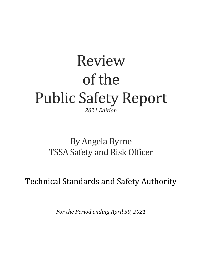# Review of the Public Safety Report *2021 Edition*

## By Angela Byrne TSSA Safety and Risk Officer

Technical Standards and Safety Authority

*For the Period ending April 30, 2021*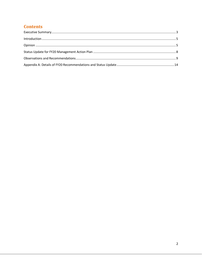## **Contents**

<span id="page-1-0"></span>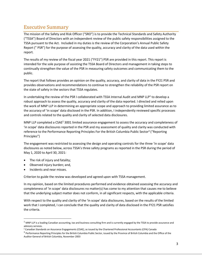## Executive Summary

The mission of the Safety and Risk Officer ("SRO") is to provide the Technical Standards and Safety Authority ("TSSA") Board of Directors with an independent review of the public safety responsibilities assigned to the TSSA pursuant to the Act. Included in my duties is the review of the Corporation's Annual Public Safety Report (" PSR") for the purpose of assessing the quality, accuracy and clarity of the data used within the report.

The results of my review of the fiscal year 2021 ("FY21") PSR are provided in this report. This report is intended for the sole purpose of assisting the TSSA Board of Directors and management in taking steps to continually strengthen the value of the PSR in measuring safety outcomes and communicating them to the public.

The report that follows provides an opinion on the quality, accuracy, and clarity of data in the FY21 PSR and provides observations and recommendations to continue to strengthen the reliability of the PSR report on the state of safety in the sectors that TSSA regulates.

In undertaking the review of the PSR I collaborated with TSSA Internal Audit and MNP LLP<sup>1</sup> to develop a robust approach to assess the quality, accuracy and clarity of the data reported. I directed and relied upon the work of MNP LLP in determining an appropriate scope and approach to providing limited assurance as to the accuracy of 'in scope' data disclosed in the PSR. In addition, I independently reviewed specific processes and controls related to the quality and clarity of selected data disclosures.

MNP LLP completed a CSAE<sup>2</sup> 3001 limited assurance engagement to assess the accuracy and completeness of 'in scope' data disclosures reported in the PSR and my assessment of quality and clarity was conducted with reference to the Performance Reporting Principles For the British Columbia Public Sector<sup>3</sup> ("Reporting Principles")

The engagement was restricted to assessing the design and operating controls for the three 'in scope' data disclosures as noted below, across TSSA's three safety programs as reported in the PSR during the period of May 1, 2020 to April 30, 2021:

- The risk of injury and fatality;
- Observed injury burden; and,
- Incidents and near misses.

Criterion to guide the review was developed and agreed upon with TSSA management.

In my opinion, based on the limited procedures performed and evidence obtained assessing the accuracy and completeness of 'in scope' data disclosures no matter(s) has come to my attention that causes me to believe that the underlying subject matter does not conform, in all significant respects, with the applicable criteria.

With respect to the quality and clarity of the 'in scope' data disclosures, based on the results of the limited work that I completed, I can conclude that the quality and clarity of data disclosed in the FY21 PSR satisfies the criteria.

 $1$  MNP LLP is a leading Canadian accounting, tax and business consulting firm and is currently engaged by the TSSA to provide assurance and advisory services.

<sup>2</sup> Canadian Standards on Assurance Engagements (CSAE), as issued by the Chartered Professional Accountants (CPA) Canada

<sup>&</sup>lt;sup>3</sup> Performance Reporting Principles for the British Columbia Public Sector, issued by the Province of British Columbia and the Office of the Auditor General of British Columbia, November 2003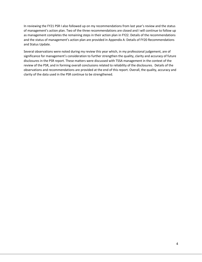In reviewing the FY21 PSR I also followed up on my recommendations from last year's review and the status of management's action plan. Two of the three recommendations are closed and I will continue to follow up as management completes the remaining steps in their action plan in FY22. Details of the recommendations and the status of management's action plan are provided in Appendix A: Details of FY20 Recommendations and Status Update.

Several observations were noted during my review this year which, in my professional judgement, are of significance for management's consideration to further strengthen the quality, clarity and accuracy of future disclosures in the PSR report. These matters were discussed with TSSA management in the context of the review of the PSR, and in forming overall conclusions related to reliability of the disclosures. Details of the observations and recommendations are provided at the end of this report. Overall, the quality, accuracy and clarity of the data used in the PSR continue to be strengthened.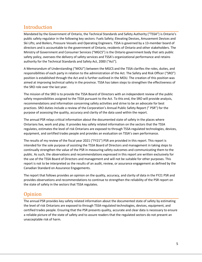## <span id="page-4-0"></span>Introduction

Mandated by the Government of Ontario, the Technical Standards and Safety Authority ("TSSA") is Ontario's public safety regulator in the following key sectors: Fuels Safety; Elevating Devices, Amusement Devices and Ski Lifts; and Boilers, Pressure Vessels and Operating Engineers. TSSA is governed by a 13-member board of directors and is accountable to the government of Ontario, residents of Ontario and other stakeholders. The Ministry of Government and Consumer Services ("MGCS") is the Ontario government body that sets public safety policy, oversees the delivery of safety services and TSSA's organizational performance and retains authority for the Technical Standards and Safety Act, 2000 ("Act").

A [Memorandum of Understanding](https://www.tssa.org/en/about-tssa/resources/MEMORANDUM-OF-UNDERSTANDING---October-2019.pdf) ("MOU") between the MGCS and the TSSA clarifies the roles, duties, and responsibilities of each party in relation to the administration of the Act. The Safety and Risk Officer ("SRO") position is established through the Act and is further outlined in the MOU. The creation of this position was aimed at improving technical safety in the province. TSSA has taken steps to strengthen the effectiveness of the SRO role over the last year.

The mission of the SRO is to provide the TSSA Board of Directors with an independent review of the public safety responsibilities assigned to the TSSA pursuant to the Act. To this end, the SRO will provide analysis, recommendations and information concerning safety activities and strive to be an advocate for best practices. SRO duties include a review of the Corporation's Annual Public Safety Report (" PSR") for the purpose of assessing the quality, accuracy and clarity of the data used within the report.

The annual PSR relays critical information about the documented state of safety in the places where Ontarians live, work and play. It provides key safety related information on the sectors that the TSSA regulates, estimates the level of risk Ontarians are exposed to through TSSA-regulated technologies, devices, equipment, and certified trades people and provides an evaluation on TSSA's own performance.

The results of my review of the fiscal year 2021 ("FY21") PSR are provided in this report. This report is intended for the sole purpose of assisting the TSSA Board of Directors and management in taking steps to continually strengthen the value of the PSR in measuring safety outcomes and communicating them to the public. As such, the observations and recommendations expressed in this report are written exclusively for the use of the TSSA Board of Directors and management and will not be suitable for other purposes. This report is not to be interpreted as the results of an audit, review, or assurance engagement as defined by the Canadian Standard on Assurance Engagements.

The report that follows provides an opinion on the quality, accuracy, and clarity of data in the FY21 PSR and provides observations and recommendations to continue to strengthen the reliability of the PSR report on the state of safety in the sectors that TSSA regulates.

## <span id="page-4-1"></span>**Opinion**

The annual PSR provides key safety related information about the documented state of safety by estimating the level of risk Ontarians are exposed to through TSSA-regulated technologies, devices, equipment, and certified trades people. Ensuring that the PSR presents quality, accurate and clear data is necessary to ensure a reliable picture of the state of safety and to assure readers that the regulated sectors do not present an unacceptable risk of harm.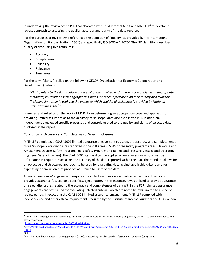In undertaking the review of the PSR I collaborated with TSSA Internal Audit and MNP LLP<sup>4</sup> to develop a robust approach to assessing the quality, accuracy and clarity of the data reported.

For the purposes of my review, I referenced the definition of "quality" as provided by the International Organization for Standardization ("ISO") and specifically ISO 8000 - 2:2020<sup>5</sup>. The ISO definition describes quality of data using five attributes:

- Accuracy
- Completeness
- Reliability
- Relevance
- Timeliness

For the term "clarity" I relied on the following OECD<sup>6</sup> (Organisation for Economic Co-operation and Development) definition:

"*Clarity refers to the data's information environment: whether data are accompanied with appropriate metadata, illustrations such as graphs and maps, whether information on their quality also available (including limitation in use) and the extent to which additional assistance is provided by National Statistical Institutes.*<sup>7</sup> *"*

I directed and relied upon the work of MNP LLP in determining an appropriate scope and approach to providing limited assurance as to the accuracy of 'in scope' data disclosed in the PSR. In addition, I independently reviewed specific processes and controls related to the quality and clarity of selected data disclosed in the report.

#### Conclusion on Accuracy and Completeness of Select Disclosures

MNP LLP completed a CSAE<sup>8</sup> 3001 limited assurance engagement to assess the accuracy and completeness of three 'in scope' data disclosures reported in the PSR across TSSA's three safety program areas (Elevating and Amusement Devices Safety Program, Fuels Safety Program and Boilers and Pressure Vessels, and Operating Engineers Safety Program). The CSAE 3001 standard can be applied when assurance on non-financial information is required, such as on the accuracy of the data reported within the PSR. This standard allows for an objective and structured approach to be used for evaluating data against applicable criteria and for expressing a conclusion that provides assurance to users of the data.

A 'limited assurance' engagement requires the collection of evidence, performance of audit tests and provides assurance focused on a specific subject matter. In this instance, it was utilized to provide assurance on select disclosures related to the accuracy and completeness of data within the PSR. Limited assurance engagements are often used for evaluating selected criteria (which are noted below), limited to a specific review period. In executing the CSAE 3001 limited assurance engagement, MNP LLP complied with independence and other ethical requirements required by the Institute of Internal Auditors and CPA Canada.

<sup>5</sup> <https://www.iso.org/obp/ui/#iso:std:iso:8000:-2:ed-4:v1:en>

 $4$  MNP LLP is a leading Canadian accounting, tax and business consulting firm and is currently engaged by the TSSA to provide assurance and advisory services.

<sup>6</sup>[https://stats.oecd.org/glossary/detail.asp?ID=5119#:~:text=Clarity%20refers%20to%20the%20data's,is%20provided%20by%20National%20Sta](https://stats.oecd.org/glossary/detail.asp?ID=5119#:~:text=Clarity%20refers%20to%20the%20data) [tistical](https://stats.oecd.org/glossary/detail.asp?ID=5119#:~:text=Clarity%20refers%20to%20the%20data)

<sup>7</sup> Ibid

<sup>8</sup> Canadian Standards on Assurance Engagements (CSAE), as issued by the Chartered Professional Accountants (CPA) Canada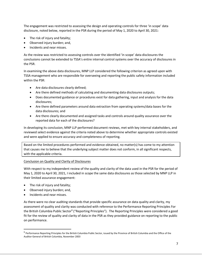The engagement was restricted to assessing the design and operating controls for three 'in scope' data disclosure, noted below, reported in the PSR during the period of May 1, 2020 to April 30, 2021:

- The risk of injury and fatality;
- Observed injury burden; and,
- Incidents and near misses.

As the review was restricted to assessing controls over the identified 'in scope' data disclosures the conclusions cannot be extended to TSSA's entire internal control systems over the accuracy of disclosures in the PSR.

In examining the above data disclosures, MNP LLP considered the following criterion as agreed upon with TSSA management who are responsible for overseeing and reporting the public safety information included within the PSR:

- Are data disclosures clearly defined;
- Are there defined methods of calculating and documenting data disclosures outputs;
- Does documented guidance or procedures exist for data gathering, input and analysis for the data disclosures;
- Are there defined parameters around data extraction from operating systems/data bases for the data disclosures; and
- Are there clearly documented and assigned tasks and controls around quality assurance over the reported data for each of the disclosures?

In developing its conclusion, MNP LLP performed document reviews, met with key internal stakeholders, and reviewed select evidence against the criteria noted above to determine whether appropriate controls existed and were applied to ensure accuracy and completeness of reporting.

Based on the limited procedures performed and evidence obtained, no matter(s) has come to my attention that causes me to believe that the underlying subject matter does not conform, in all significant respects, with the applicable criteria.

#### Conclusion on Quality and Clarity of Disclosures

With respect to my independent review of the quality and clarity of the data used in the PSR for the period of May 1, 2020 to April 30, 2021, I included in scope the same data disclosures as those selected by MNP LLP in their limited assurance engagement:

- The risk of injury and fatality;
- Observed injury burden; and,
- Incidents and near misses.

As there were no clear auditing standards that provide specific assurance on data quality and clarity, my assessment of quality and clarity was conducted with reference to the Performance Reporting Principles For the British Columbia Public Sector<sup>9</sup> ("Reporting Principles"). The Reporting Principles were considered a good fit for the review of quality and clarity of data in the PSR as they provided guidance on reporting to the public on performance.

<sup>&</sup>lt;sup>9</sup> Performance Reporting Principles for the British Columbia Public Sector, issued by the Province of British Columbia and the Office of the Auditor General of British Columbia, November 2003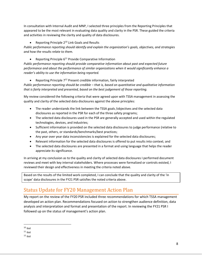In consultation with Internal Audit and MNP, I selected three principles from the Reporting Principles that appeared to be the most relevant in evaluating data quality and clarity in the PSR. These guided the criteria and activities in reviewing the clarity and quality of data disclosures.

#### • Reporting Principle 2<sup>10</sup> Link Goals and Results

*Public performance reporting should identify and explain the organization's goals, objectives, and strategies and how the results relate to them.* 

• Reporting Principle  $6^{11}$  Provide Comparative Information

*Public performance reporting should provide comparative information about past and expected future performance and about the performance of similar organizations when it would significantly enhance a reader's ability to use the information being reported.*

• Reporting Principle  $7^{12}$  Present credible information, fairly interpreted

*Public performance reporting should be credible – that is, based on quantitative and qualitative information that is fairly interpreted and presented, based on the best judgement of those reporting.* 

My review considered the following criteria that were agreed upon with TSSA management in assessing the quality and clarity of the selected data disclosures against the above principles:

- The reader understands the link between the TSSA goals /objectives and the selected data disclosures as reported in the PSR for each of the three safety programs;
- The selected data disclosures used in the PSR are generally accepted and used within the regulated technologies, devices, and industries;
- Sufficient information is provided on the selected data disclosures to judge performance (relative to the past, others, or standards/benchmarks/best practices;
- Any year over year data inconsistencies is explained for the selected data disclosures;
- Relevant information for the selected data disclosures is offered to put results into context; and
- The selected data disclosures are presented in a format and using language that helps the reader appreciate its significance.

In arriving at my conclusion as to the quality and clarity of selected data disclosures I performed document reviews and meet with key internal stakeholders. Where processes were formalized or controls existed, I reviewed their design and effectiveness in meeting the criteria noted above.

Based on the results of the limited work completed, I can conclude that the quality and clarity of the 'in scope' data disclosures in the FY21 PSR satisfies the noted criteria above.

## <span id="page-7-0"></span>Status Update for FY20 Management Action Plan

My report on the review of the FY20 PSR included three recommendations for which TSSA management developed an action plan. Recommendations focused on action to strengthen audience definition, data analysis and interpretation and format and presentation of the report. In reviewing the FY21 PSR I followed up on the status of management's action plan.

 $10$  Ibid

 $11$  Ibid

 $12$  Ibid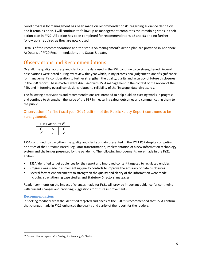Good progress by management has been made on recommendation #1 regarding audience definition and it remains open. I will continue to follow up as management completes the remaining steps in their action plan in FY22. All action has been completed for recommendations #2 and #3 and no further follow up is required as they are now closed.

Details of the recommendations and the status on management's action plan are provided in Appendix A: Details of FY20 Recommendations and Status Update.

## <span id="page-8-0"></span>Observations and Recommendations

Overall, the quality, accuracy and clarity of the data used in the PSR continue to be strengthened. Several observations were noted during my review this year which, in my professional judgement, are of significance for management's consideration to further strengthen the quality, clarity and accuracy of future disclosures in the PSR report. These matters were discussed with TSSA management in the context of the review of the PSR, and in forming overall conclusions related to reliability of the 'in scope' data disclosures.

The following observations and recommendations are intended to help build on existing works in progress and continue to strengthen the value of the PSR in measuring safety outcomes and communicating them to the public.

Observation #1: The fiscal year 2021 edition of the Public Safety Report continues to be strengthened.

| Data Attributes <sup>13</sup> |  |  |
|-------------------------------|--|--|
|                               |  |  |
|                               |  |  |

TSSA continued to strengthen the quality and clarity of data presented in the FY21 PSR despite competing priorities of the Outcome Based Regulator transformation, implementation of a new information technology system and challenges presented by the pandemic. The following improvements were made in the FY21 edition:

- TSSA identified target audiences for the report and improved content targeted to regulated entities.
- Progress was made in implementing quality controls to improve the accuracy of data disclosures.
- Several format enhancements to strengthen the quality and clarity of the information were made including strengthening case studies and Statutory Directors' messages.

Reader comments on the impact of changes made for FY21 will provide important guidance for continuing with current changes and providing suggestions for future improvements.

#### **Recommendation:**

In seeking feedback from the identified targeted audiences of the PSR it is recommended that TSSA confirm that changes made in FY21 enhanced the quality and clarity of the report for the readers.

<sup>13</sup> Data Attributes Legend :  $Q =$  Quality,  $A =$  Accuracy,  $C =$  Clarity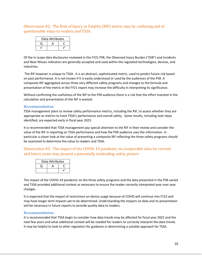Observation #2: The Risk of Injury or Fatality (RIF) metric may be confusing and of questionable value to readers and TSSA.

| Data Attributes |  |  |
|-----------------|--|--|
|                 |  |  |
|                 |  |  |

Of the in scope data disclosures reviewed in the FY21 PSR, the Observed Injury Burden ("OIB") and Incidents and Near Misses indicators are generally accepted and used within the regulated technologies, devices, and industries.

The RIF however is unique to TSSA. It is an abstract, sophisticated metric, used to predict future risk based on past performance. It is not known if it is easily understood or used by the audiences of the PSR. A composite RIF aggregated across three very different safety programs and changes to the formula and presentation of the metric in the FY21 report may increase the difficulty in interpreting its significance.

Without confirming the usefulness of the RIF to the PSR audience there is a risk that the effort invested in the calculation and presentation of the RIF is wasted.

#### **Recommendation:**

TSSA management plans to review safety performance metrics, including the RIF, to assess whether they are appropriate as metrics to track TSSA's performance and overall safety. Some results, including next steps identified, are expected early in fiscal year 2023.

It is recommended that TSSA management pay special attention to the RIF in their review and consider the value of the RIF in reporting on TSSA performance and how the PSR audience uses the information. In particular a closer look at the value of presenting a composite RIF reflecting the three safety programs should be examined to determine the value to readers and TSSA.

#### Observation #3: The impact of the COVID-19 pandemic on comparable data for current and future years may present a potentially misleading safety picture.

| Data Attributes |  |  |
|-----------------|--|--|
|                 |  |  |
|                 |  |  |

The impact of the COVID-19 pandemic on the three safety programs and the data presented in the PSR varied and TSSA provided additional context as necessary to ensure the reader correctly interpreted year over year changes.

It is expected that the impact of restrictions on device usage because of COVID will continue into FY22 and may have longer term impacts yet to be determined. Understanding the impacts on data and its presentation will be necessary in future reports to provide quality data to readers.

#### **Recommendation:**

It is recommended that TSSA begin to consider how data trends may be affected for fiscal year 2022 and the next few years and what additional context will be needed for readers to correctly interpret the data trends. It may be helpful to look to other regulators for guidance in determining a suitable approach for TSSA.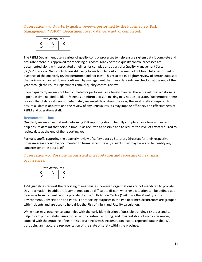Observation #4: Quarterly quality reviews performed by the Public Safety Risk Management ("PSRM") Department over data were not all completed.

| Data Attributes |   |  |
|-----------------|---|--|
|                 | д |  |
|                 |   |  |

The PSRM Department use a variety of quality control processes to help ensure system data is complete and accurate before it is approved for reporting purposes. Many of these quality control processes are documented along with associated timelines for completion as part of a Quality Management System ("QMS") process. New controls are still being formally rolled out and some had not been fully performed or evidence of the quarterly review performed did not exist. This resulted in a lighter review of certain data sets than originally planned. It was confirmed by management that these data sets are checked at the end of the year through the PSRM Departments annual quality control review.

Should quarterly reviews not be completed or performed in a timely manner, there is a risk that a data set at a point in time needed to identify trends or inform decision making may not be accurate. Furthermore, there is a risk that if data sets are not adequately reviewed throughout the year, the level of effort required to ensure all data is accurate and the review of any unusual results may impede efficiency and effectiveness of PSRM and operations staff.

#### **Recommendation:**

Quarterly reviews over datasets informing PSR reporting should be fully completed in a timely manner to help ensure data (at that point in time) is as accurate as possible and to reduce the level of effort required to review data at the end of the reporting year.

Formal signoffs capturing the quarterly review of safety data by Statutory Directors for their respective program areas should be documented to formally capture any insights they may have and to identify any concerns over the data itself.

Observation #5: Possible inconsistent interpretation and reporting of near miss occurrences.

| Data Attributes |  |  |
|-----------------|--|--|
|                 |  |  |
|                 |  |  |

TSSA guidelines request the reporting of near misses, however, organizations are not mandated to provide this information. In addition, it sometimes can be difficult to discern whether a situation can be defined as a near miss from incident reports provided by the Spills Action Centre ("SAC") via the Ministry of the Environment, Conservation and Parks. For reporting purposes in the PSR near miss occurrences are grouped with incidents and are used to help drive the Risk of Injury and Fatality calculation.

While near miss occurrence data helps with the early identification of possible trending risk areas and can help inform public safety issues, possible inconsistent reporting, and interpretation of such occurrences, coupled with the grouping of near miss occurrences with incidents, can lead to reported data in the PSR portraying an inaccurate representation of the state of safety within the province.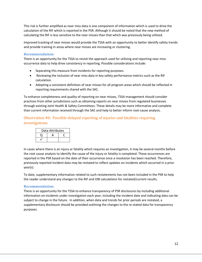This risk is further amplified as near miss data is one component of information which is used to drive the calculation of the RIF which is reported in the PSR. Although it should be noted that the new method of calculating the RIF is less sensitive to the near misses than that which was previously being utilized.

Improved tracking of near misses would provide the TSSA with an opportunity to better identify safety trends and provide training in areas where near misses are increasing or clustering.

#### **Recommendation:**

There is an opportunity for the TSSA to revisit the approach used for utilizing and reporting near miss occurrence data to help drive consistency in reporting. Possible considerations include:

- Separating this measure from incidents for reporting purposes.
- Reviewing the inclusion of near miss data in key safety performance metrics such as the RIF calculation.
- Adopting a consistent definition of near misses for all program areas which should be reflected in reporting requirements shared with the SAC.

To enhance completeness and quality of reporting on near misses, TSSA management should consider practices from other jurisdictions such as obtaining reports on near misses from regulated businesses through existing Joint Health & Safety Committees. These details may be more informative and complete than current information received through the SAC and help to better inform root-cause analysis.

#### Observation #6: Possible delayed reporting of injuries and fatalities requiring investigations.

| Data Attributes |  |  |
|-----------------|--|--|
|                 |  |  |
|                 |  |  |

In cases where there is an injury or fatality which requires an investigation, it may be several months before the root cause analysis to identify the cause of the injury or fatality is completed. These occurrences are reported in the PSR based on the date of their occurrence once a resolution has been reached. Therefore, previously reported incident data may be restated to reflect updates on incidents which occurred in a prior year(s).

To date, supplementary information related to such restatements has not been included in the PSR to help the reader understand any changes to the RIF and OIB calculations for restated/current results.

#### **Recommendation:**

There is an opportunity for the TSSA to enhance transparency of PSR disclosures by including additional information on incidents under investigation each year, including the incident date and indicating data can be subject to change in the future. In addition, when data and trends for prior periods are restated, a supplementary disclosure should be provided outlining the changes to the re-stated data for transparency purposes.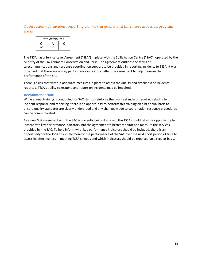Observation #7: Incident reporting can vary in quality and timeliness across all program areas.

| Data Attributes |  |  |
|-----------------|--|--|
|                 |  |  |
|                 |  |  |

The TSSA has a Service Level Agreement ("SLA") in place with the Spills Action Centre ("SAC") operated by the Ministry of the Environment Conservation and Parks. The agreement outlines the terms of telecommunications and response coordination support to be provided in reporting incidents to TSSA. It was observed that there are no key performance indicators within the agreement to help measure the performance of the SAC.

There is a risk that without adequate measures in place to assess the quality and timeliness of incidents reported, TSSA's ability to respond and report on incidents may be impaired.

#### **Recommendation:**

While annual training is conducted for SAC staff to reinforce the quality standards required relating to incident response and reporting, there is an opportunity to perform this training on a bi-annual basis to ensure quality standards are clearly understood and any changes made to coordination response procedures can be communicated.

As a new SLA agreement with the SAC is currently being discussed, the TSSA should take this opportunity to incorporate key performance indicators into the agreement to better monitor and measure the services provided by the SAC. To help inform what key performance indicators should be included, there is an opportunity for the TSSA to closely monitor the performance of the SAC over the next short period of time to assess its effectiveness in meeting TSSA's needs and which indicators should be reported on a regular basis.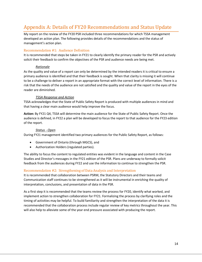## <span id="page-13-0"></span>Appendix A: Details of FY20 Recommendations and Status Update

My report on the review of the FY20 PSR included three recommendations for which TSSA management developed an action plan. The following provides details of the recommendations and the status of management's action plan.

#### Recommendation #1: Audience Definition

It is recommended that steps be taken in FY21 to clearly identify the primary reader for the PSR and actively solicit their feedback to confirm the objectives of the PSR and audience needs are being met.

#### *Rationale*

As the quality and value of a report can only be determined by the intended readers it is critical to ensure a primary audience is identified and that their feedback is sought. When that clarity is missing it will continue to be a challenge to deliver a report in an appropriate format with the correct level of information. There is a risk that the needs of the audience are not satisfied and the quality and value of the report in the eyes of the reader are diminished.

#### *TSSA Response and Action*

TSSA acknowledges that the State of Public Safety Report is produced with multiple audiences in mind and that having a clear main audience would help improve the focus.

**Action:** By FY21 Q4, TSSA will determine the main audience for the State of Public Safety Report. Once the audience is defined, in FY22 a plan will be developed to focus the report to that audience for the FY23 edition of the report.

#### *Status - Open*

During FY21 management identified two primary audiences for the Public Safety Report, as follows:

- Government of Ontario (through MGCS), and
- Authorization Holders (regulated parties).

The ability to focus the content to regulated entities was evident in the language and content in the Case Studies and Director's messages in the FY21 edition of the PSR. Plans are underway to formally solicit feedback from the audiences during FY22 and use the information to continue to strengthen the PSR.

#### Recommendation #2: Strengthening of Data Analysis and Interpretation

It is recommended that collaboration between PSRM, the Statutory Directors and their teams and Communication staff continues to be strengthened as it will be instrumental in enriching the quality of interpretation, conclusions, and presentation of data in the PSR.

As a first step it is recommended that the teams review the process for FY20, identify what worked, and implement action to strengthen collaboration for FY21. Formalizing the process by clarifying roles and the timing of activities may be helpful. To build familiarity and strengthen the interpretation of the data it is recommended that the collaboration process include regular review of key metrics throughout the year. This will also help to alleviate some of the year end pressure associated with producing the report.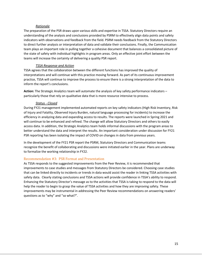#### *Rationale*

The preparation of the PSR draws upon various skills and expertise in TSSA. Statutory Directors require an understanding of the analysis and conclusions provided by PSRM to effectively align data points and safety indicators with observations and feedback from the field. PSRM needs feedback from the Statutory Directors to direct further analysis or interpretation of data and validate their conclusions. Finally, the Communication team plays an important role in pulling together a cohesive document that balances a consolidated picture of the state of safety with individual highlights in program areas. Only an effective joint effort between the teams will increase the certainty of delivering a quality PSR report.

#### *TSSA Response and Action*

TSSA agrees that the collaboration between the different functions has improved the quality of interpretations and will continue with this practice moving forward. As part of its continuous improvement practice, TSSA will continue to improve the process to ensure there is a strong interpretation of the data to inform the report's conclusions.

**Action:** The Strategic Analytics team will automate the analysis of key safety performance indicators – particularly those that rely on qualitative data that is more resource intensive to process.

#### *Status - Closed*

During FY21 management implemented automated reports on key safety indicators (High Risk Inventory, Risk of Injury and Fatality, Observed Injury Burden, natural language processing for incidents) to increase the efficiency in analyzing data and expanding access to results. The reports were launched in Spring 2021 and will continue to be enhanced and refined. The change will allow Statutory Directors and others to easily access data. In addition, the Strategic Analytics team holds informal discussions with the program areas to better understand the data and interpret the results. An important consideration under discussion for FY21 PSR reporting has been isolating the impact of COVID on changes in data from previous years.

In the development of the FY21 PSR report the PSRM, Statutory Directors and Communication teams recognize the benefit of collaborating and discussions were initiated earlier in the year. Plans are underway to formalize the working relationship in FY22.

#### Recommendation #3: PSR Format and Presentation

As TSSA responds to the suggested improvements from the Peer Review, it is recommended that improvements to case studies and messages from Statutory Directors be considered. Choosing case studies that can be linked directly to incidents or trends in data would assist the reader in linking TSSA activities with safety data. Clearly stating conclusions and TSSA actions will provide confidence in TSSA's ability to respond. Enhancing the Statutory Director's message as to the activities that TSSA is taking to respond to the data will help the reader to begin to grasp the value of TSSA activities and how they are improving safety. These improvements may be instrumental in addressing the Peer Review recommendations on answering readers' questions as to "why" and "so what?".